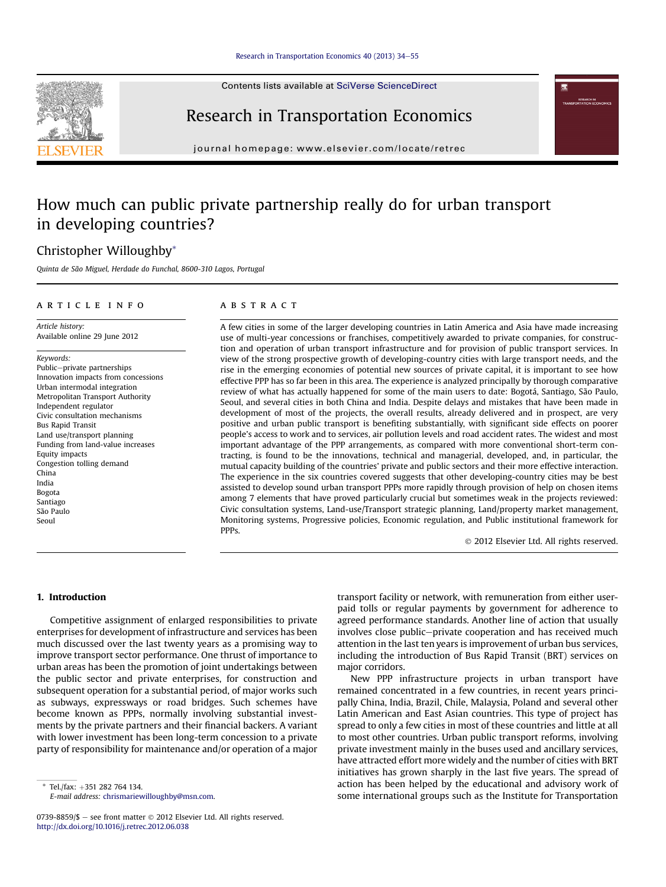Contents lists available at SciVerse ScienceDirect



Research in Transportation Economics

journal homepage: [www.elsevier.com/locate/retrec](http://www.elsevier.com/locate/retrec)

## How much can public private partnership really do for urban transport in developing countries?

## Christopher Willoughby\*

Quinta de São Miguel, Herdade do Funchal, 8600-310 Lagos, Portugal

#### article info

Article history: Available online 29 June 2012

Keywords: Public-private partnerships Innovation impacts from concessions Urban intermodal integration Metropolitan Transport Authority Independent regulator Civic consultation mechanisms Bus Rapid Transit Land use/transport planning Funding from land-value increases Equity impacts Congestion tolling demand China India Bogota Santiago São Paulo Seoul

#### **ABSTRACT**

A few cities in some of the larger developing countries in Latin America and Asia have made increasing use of multi-year concessions or franchises, competitively awarded to private companies, for construction and operation of urban transport infrastructure and for provision of public transport services. In view of the strong prospective growth of developing-country cities with large transport needs, and the rise in the emerging economies of potential new sources of private capital, it is important to see how effective PPP has so far been in this area. The experience is analyzed principally by thorough comparative review of what has actually happened for some of the main users to date: Bogotá, Santiago, São Paulo, Seoul, and several cities in both China and India. Despite delays and mistakes that have been made in development of most of the projects, the overall results, already delivered and in prospect, are very positive and urban public transport is benefiting substantially, with significant side effects on poorer people's access to work and to services, air pollution levels and road accident rates. The widest and most important advantage of the PPP arrangements, as compared with more conventional short-term contracting, is found to be the innovations, technical and managerial, developed, and, in particular, the mutual capacity building of the countries' private and public sectors and their more effective interaction. The experience in the six countries covered suggests that other developing-country cities may be best assisted to develop sound urban transport PPPs more rapidly through provision of help on chosen items among 7 elements that have proved particularly crucial but sometimes weak in the projects reviewed: Civic consultation systems, Land-use/Transport strategic planning, Land/property market management, Monitoring systems, Progressive policies, Economic regulation, and Public institutional framework for PPPs.

2012 Elsevier Ltd. All rights reserved.

### 1. Introduction

Competitive assignment of enlarged responsibilities to private enterprises for development of infrastructure and services has been much discussed over the last twenty years as a promising way to improve transport sector performance. One thrust of importance to urban areas has been the promotion of joint undertakings between the public sector and private enterprises, for construction and subsequent operation for a substantial period, of major works such as subways, expressways or road bridges. Such schemes have become known as PPPs, normally involving substantial investments by the private partners and their financial backers. A variant with lower investment has been long-term concession to a private party of responsibility for maintenance and/or operation of a major

Tel./fax: +351 282 764 134.

E-mail address: [chrismariewilloughby@msn.com.](mailto:chrismariewilloughby@msn.com)

transport facility or network, with remuneration from either userpaid tolls or regular payments by government for adherence to agreed performance standards. Another line of action that usually involves close public-private cooperation and has received much attention in the last ten years is improvement of urban bus services, including the introduction of Bus Rapid Transit (BRT) services on major corridors.

New PPP infrastructure projects in urban transport have remained concentrated in a few countries, in recent years principally China, India, Brazil, Chile, Malaysia, Poland and several other Latin American and East Asian countries. This type of project has spread to only a few cities in most of these countries and little at all to most other countries. Urban public transport reforms, involving private investment mainly in the buses used and ancillary services, have attracted effort more widely and the number of cities with BRT initiatives has grown sharply in the last five years. The spread of action has been helped by the educational and advisory work of some international groups such as the Institute for Transportation

<sup>0739-8859/\$ -</sup> see front matter  $\odot$  2012 Elsevier Ltd. All rights reserved. <http://dx.doi.org/10.1016/j.retrec.2012.06.038>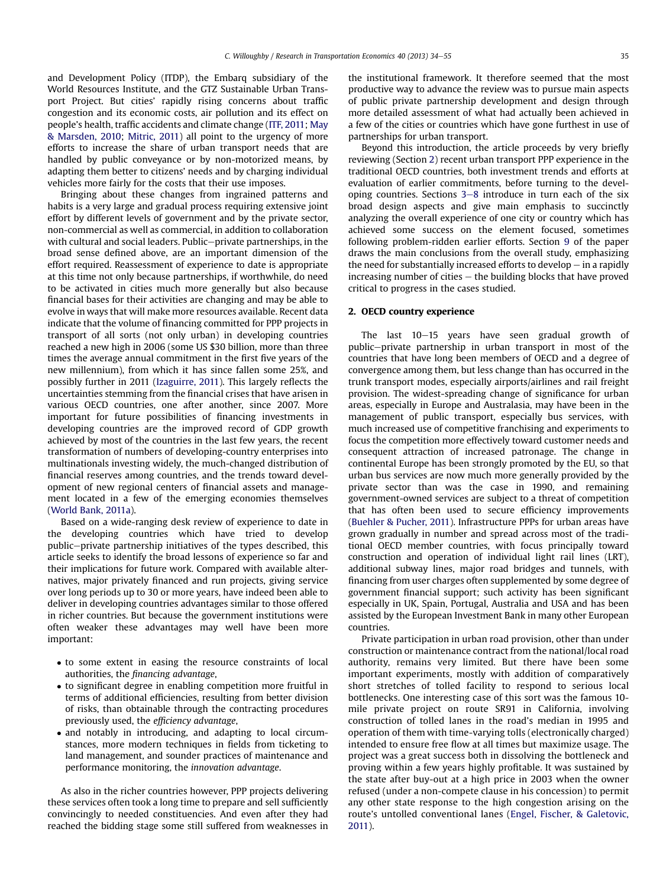and Development Policy (ITDP), the Embarq subsidiary of the World Resources Institute, and the GTZ Sustainable Urban Transport Project. But cities' rapidly rising concerns about traffic congestion and its economic costs, air pollution and its effect on people's health, traffic accidents and climate change [\(ITF, 2011;](#page--1-0) [May](#page--1-0) [& Marsden, 2010](#page--1-0); [Mitric, 2011](#page--1-0)) all point to the urgency of more efforts to increase the share of urban transport needs that are handled by public conveyance or by non-motorized means, by adapting them better to citizens' needs and by charging individual vehicles more fairly for the costs that their use imposes.

Bringing about these changes from ingrained patterns and habits is a very large and gradual process requiring extensive joint effort by different levels of government and by the private sector, non-commercial as well as commercial, in addition to collaboration with cultural and social leaders. Public-private partnerships, in the broad sense defined above, are an important dimension of the effort required. Reassessment of experience to date is appropriate at this time not only because partnerships, if worthwhile, do need to be activated in cities much more generally but also because financial bases for their activities are changing and may be able to evolve in ways that will make more resources available. Recent data indicate that the volume of financing committed for PPP projects in transport of all sorts (not only urban) in developing countries reached a new high in 2006 (some US \$30 billion, more than three times the average annual commitment in the first five years of the new millennium), from which it has since fallen some 25%, and possibly further in 2011 ([Izaguirre, 2011](#page--1-0)). This largely reflects the uncertainties stemming from the financial crises that have arisen in various OECD countries, one after another, since 2007. More important for future possibilities of financing investments in developing countries are the improved record of GDP growth achieved by most of the countries in the last few years, the recent transformation of numbers of developing-country enterprises into multinationals investing widely, the much-changed distribution of financial reserves among countries, and the trends toward development of new regional centers of financial assets and management located in a few of the emerging economies themselves ([World Bank, 2011a\)](#page--1-0).

Based on a wide-ranging desk review of experience to date in the developing countries which have tried to develop public-private partnership initiatives of the types described, this article seeks to identify the broad lessons of experience so far and their implications for future work. Compared with available alternatives, major privately financed and run projects, giving service over long periods up to 30 or more years, have indeed been able to deliver in developing countries advantages similar to those offered in richer countries. But because the government institutions were often weaker these advantages may well have been more important:

- to some extent in easing the resource constraints of local authorities, the financing advantage,
- to significant degree in enabling competition more fruitful in terms of additional efficiencies, resulting from better division of risks, than obtainable through the contracting procedures previously used, the efficiency advantage,
- and notably in introducing, and adapting to local circumstances, more modern techniques in fields from ticketing to land management, and sounder practices of maintenance and performance monitoring, the innovation advantage.

As also in the richer countries however, PPP projects delivering these services often took a long time to prepare and sell sufficiently convincingly to needed constituencies. And even after they had reached the bidding stage some still suffered from weaknesses in the institutional framework. It therefore seemed that the most productive way to advance the review was to pursue main aspects of public private partnership development and design through more detailed assessment of what had actually been achieved in a few of the cities or countries which have gone furthest in use of partnerships for urban transport.

Beyond this introduction, the article proceeds by very briefly reviewing (Section 2) recent urban transport PPP experience in the traditional OECD countries, both investment trends and efforts at evaluation of earlier commitments, before turning to the developing countries. Sections  $3-8$  $3-8$  $3-8$  introduce in turn each of the six broad design aspects and give main emphasis to succinctly analyzing the overall experience of one city or country which has achieved some success on the element focused, sometimes following problem-ridden earlier efforts. Section [9](#page--1-0) of the paper draws the main conclusions from the overall study, emphasizing the need for substantially increased efforts to develop  $-$  in a rapidly  $increasing$  number of cities  $-$  the building blocks that have proved critical to progress in the cases studied.

#### 2. OECD country experience

The last  $10-15$  years have seen gradual growth of public-private partnership in urban transport in most of the countries that have long been members of OECD and a degree of convergence among them, but less change than has occurred in the trunk transport modes, especially airports/airlines and rail freight provision. The widest-spreading change of significance for urban areas, especially in Europe and Australasia, may have been in the management of public transport, especially bus services, with much increased use of competitive franchising and experiments to focus the competition more effectively toward customer needs and consequent attraction of increased patronage. The change in continental Europe has been strongly promoted by the EU, so that urban bus services are now much more generally provided by the private sector than was the case in 1990, and remaining government-owned services are subject to a threat of competition that has often been used to secure efficiency improvements ([Buehler & Pucher, 2011\)](#page--1-0). Infrastructure PPPs for urban areas have grown gradually in number and spread across most of the traditional OECD member countries, with focus principally toward construction and operation of individual light rail lines (LRT), additional subway lines, major road bridges and tunnels, with financing from user charges often supplemented by some degree of government financial support; such activity has been significant especially in UK, Spain, Portugal, Australia and USA and has been assisted by the European Investment Bank in many other European countries.

Private participation in urban road provision, other than under construction or maintenance contract from the national/local road authority, remains very limited. But there have been some important experiments, mostly with addition of comparatively short stretches of tolled facility to respond to serious local bottlenecks. One interesting case of this sort was the famous 10 mile private project on route SR91 in California, involving construction of tolled lanes in the road's median in 1995 and operation of them with time-varying tolls (electronically charged) intended to ensure free flow at all times but maximize usage. The project was a great success both in dissolving the bottleneck and proving within a few years highly profitable. It was sustained by the state after buy-out at a high price in 2003 when the owner refused (under a non-compete clause in his concession) to permit any other state response to the high congestion arising on the route's untolled conventional lanes ([Engel, Fischer, & Galetovic,](#page--1-0) [2011\)](#page--1-0).